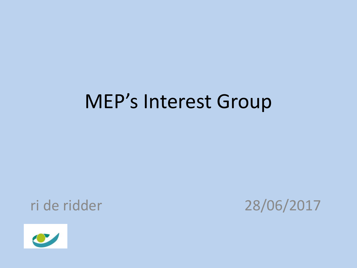### MEP's Interest Group



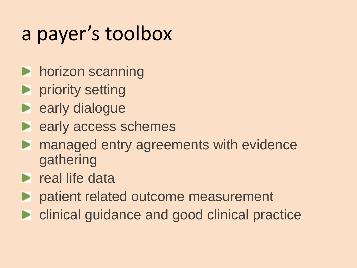# a payer's toolbox

- **horizon scanning**
- **P** priority setting
- **E** early dialogue
- **E** early access schemes
- managed entry agreements with evidence gathering
- $\blacktriangleright$  real life data
- **P** patient related outcome measurement
- **Exercise 1 clinical guidance and good clinical practice**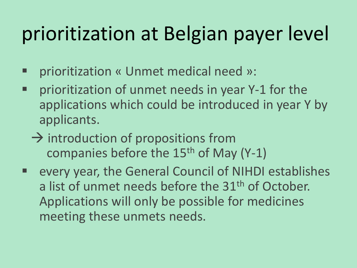# prioritization at Belgian payer level

- prioritization « Unmet medical need »:
- **Perioritization of unmet needs in year Y-1 for the** applications which could be introduced in year Y by applicants.
	- $\rightarrow$  introduction of propositions from companies before the  $15<sup>th</sup>$  of May (Y-1)
- every year, the General Council of NIHDI establishes a list of unmet needs before the 31<sup>th</sup> of October. Applications will only be possible for medicines meeting these unmets needs.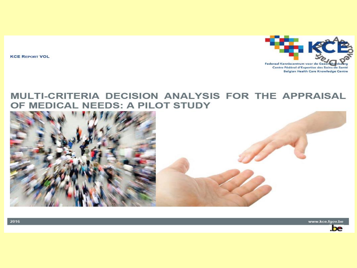**KCE REPORT VOL** 



#### MULTI-CRITERIA DECISION ANALYSIS FOR THE APPRAISAL OF MEDICAL NEEDS: A PILOT STUDY



www.kce.fgov.be



2016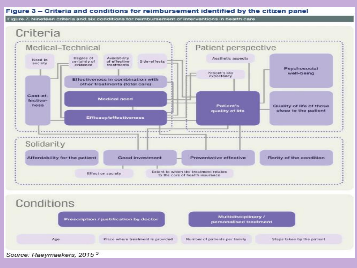#### Figure 3 - Criteria and conditions for reimbursement identified by the citizen panel

Figure 7. Nineteen criteria and six conditions for reimbursement of interventions in health care



Source: Raeymaekers, 2015<sup>5</sup>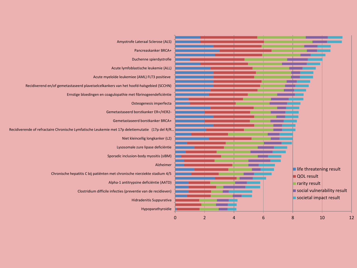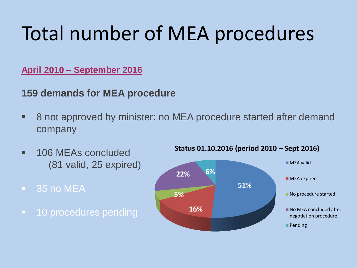# Total number of MEA procedures

#### **April 2010 – September 2016**

### **159 demands for MEA procedure**

- 8 not approved by minister: no MEA procedure started after demand company
- **106 MEAs concluded** (81 valid, 25 expired)
- **35 no MEA**
- **10 procedures pending**



#### **Status 01.10.2016 (period 2010 – Sept 2016)**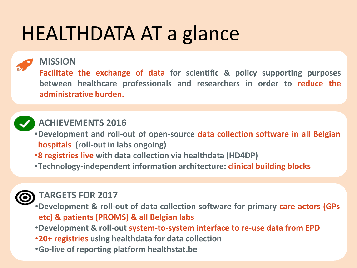## HEALTHDATA AT a glance

#### **MISSION**

**Facilitate the exchange of data for scientific & policy supporting purposes between healthcare professionals and researchers in order to reduce the administrative burden.**



### **ACHIEVEMENTS 2016**

- •**Development and roll-out of open-source data collection software in all Belgian hospitals (roll-out in labs ongoing)**
- •**8 registries live with data collection via healthdata (HD4DP)**
- •**Technology-independent information architecture: clinical building blocks**



#### **TARGETS FOR 2017**

•**Development & roll-out of data collection software for primary care actors (GPs etc) & patients (PROMS) & all Belgian labs**

•**Development & roll-out system-to-system interface to re-use data from EPD**

- •**20+ registries using healthdata for data collection**
- •**Go-live of reporting platform healthstat.be**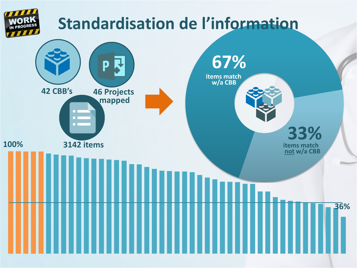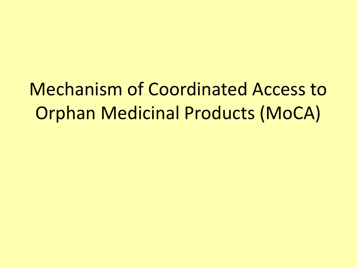### Mechanism of Coordinated Access to Orphan Medicinal Products (MoCA)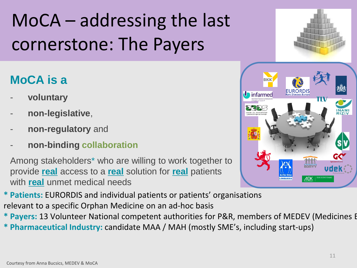# MoCA – addressing the last cornerstone: The Payers

### **MoCA is a**

- **voluntary**
- **non-legislative**,
- **non-regulatory** and
- **non-binding collaboration**

Among stakeholders\* who are willing to work together to provide **real** access to a **real** solution for **real** patients with **real** unmet medical needs

**\* Patients:** EURORDIS and individual patients or patients' organisations relevant to a specific Orphan Medicine on an ad-hoc basis

- **\* Payers: 13 Volunteer National competent authorities for P&R, members of MEDEV (Medicines E**
- **\* Pharmaceutical Industry:** candidate MAA / MAH (mostly SME's, including start-ups)

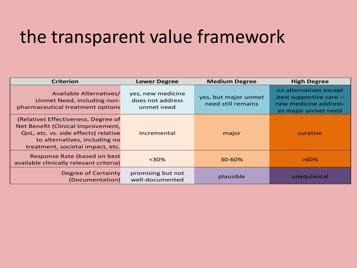### the transparent value framework

| <b>Criterion</b>                                                                                                                                                                       | <b>Lower Degree</b>                                 | <b>Medium Degree</b>                       | <b>High Degree</b>                                                                               |
|----------------------------------------------------------------------------------------------------------------------------------------------------------------------------------------|-----------------------------------------------------|--------------------------------------------|--------------------------------------------------------------------------------------------------|
| <b>Available Alternatives/</b><br>Unmet Need, including non-<br>pharmaceutical treatment options                                                                                       | yes, new medicine<br>does not address<br>unmet need | yes, but major unmet<br>need still remains | no alternatives except<br>best supportive care -<br>new medicine address-<br>es major unmet need |
| (Relative) Effectiveness, Degree of<br>Net Benefit (Clinical Improvement,<br>QoL, etc. vs. side effects) relative<br>to alternatives, including no<br>treatment, societal impact, etc. | incremental                                         | major                                      | curative                                                                                         |
| Response Rate (based on best<br>available clinically relevant criteria)                                                                                                                | $30%$                                               | 30-60%                                     | $>60\%$                                                                                          |
| Degree of Certainty<br>(Documentation)                                                                                                                                                 | promising but not<br>well-documented                | plausible                                  | unequivocal                                                                                      |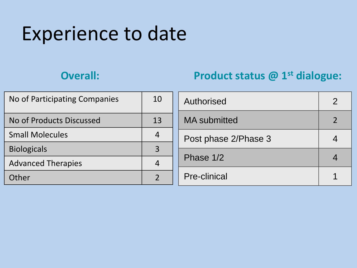### Experience to date

### **Overall: Product status @ 1st dialogue:**

| No of Participating Companies | 10             | <b>Authorised</b>    | ⌒ |
|-------------------------------|----------------|----------------------|---|
| No of Products Discussed      | 13             | <b>MA</b> submitted  |   |
| <b>Small Molecules</b>        | $\overline{4}$ | Post phase 2/Phase 3 |   |
| <b>Biologicals</b>            | $\overline{3}$ |                      |   |
| <b>Advanced Therapies</b>     | 4              | Phase 1/2            |   |
| Other                         |                | <b>Pre-clinical</b>  |   |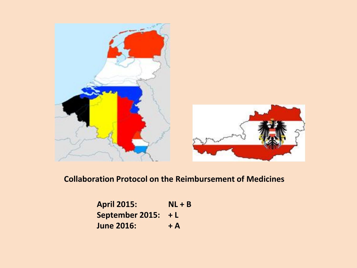

#### **Collaboration Protocol on the Reimbursement of Medicines**

| <b>April 2015:</b>     | $NL + B$ |
|------------------------|----------|
| <b>September 2015:</b> | $+L$     |
| <b>June 2016:</b>      | $+$ A    |